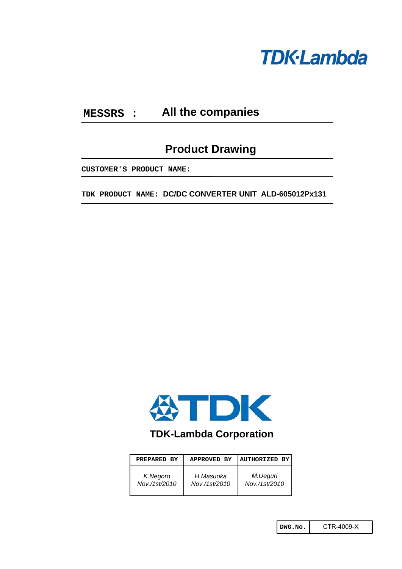

#### **MESSRS : All the companies**

# **Product Drawing**

**CUSTOMER'S PRODUCT NAME:**

**TDK PRODUCT NAME: DC/DC CONVERTER UNIT ALD-605012Px131**



# **TDK-Lambda Corporation**

| PREPARED BY   | <b>APPROVED BY</b> | <b>AUTHORIZED BY</b> |
|---------------|--------------------|----------------------|
| K.Negoro      | H.Masuoka          | M.Ueguri             |
| Nov./1st/2010 | Nov./1st/2010      | Nov./1st/2010        |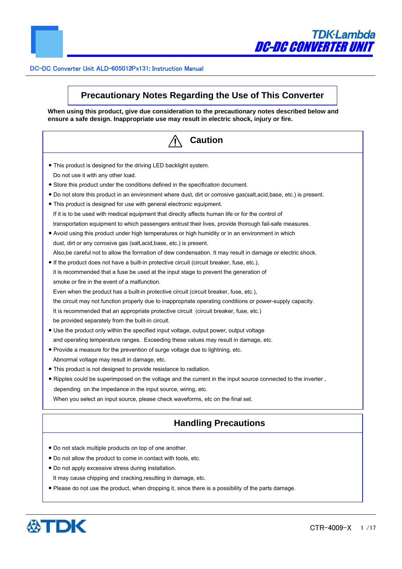

# **Precautionary Notes Regarding the Use of This Converter**

**When using this product, give due consideration to the precautionary notes described below and ensure a safe design. Inappropriate use may result in electric shock, injury or fire.**

| <b>Caution</b>                                                                                                      |
|---------------------------------------------------------------------------------------------------------------------|
| . This product is designed for the driving LED backlight system.                                                    |
| Do not use it with any other load.                                                                                  |
| • Store this product under the conditions defined in the specification document.                                    |
| • Do not store this product in an environment where dust, dirt or corrosive gas(salt, acid, base, etc.) is present. |
| • This product is designed for use with general electronic equipment.                                               |
| If it is to be used with medical equipment that directly affects human life or for the control of                   |
| transportation equipment to which passengers entrust their lives, provide thorough fail-safe measures.              |
| Avoid using this product under high temperatures or high humidity or in an environment in which                     |
| dust, dirt or any corrosive gas (salt, acid, base, etc.) is present.                                                |
| Also, be careful not to allow the formation of dew condensation. It may result in damage or electric shock.         |
| • If the product does not have a built-in protective circuit (circuit breaker, fuse, etc.),                         |
| it is recommended that a fuse be used at the input stage to prevent the generation of                               |
| smoke or fire in the event of a malfunction.                                                                        |
| Even when the product has a built-in protective circuit (circuit breaker, fuse, etc.),                              |
| the circuit may not function properly due to inappropriate operating conditions or power-supply capacity.           |
| It is recommended that an appropriate protective circuit (circuit breaker, fuse, etc.)                              |
| be provided separately from the built-in circuit.                                                                   |
| • Use the product only within the specified input voltage, output power, output voltage                             |
| and operating temperature ranges. Exceeding these values may result in damage, etc.                                 |
| • Provide a measure for the prevention of surge voltage due to lightning, etc.                                      |
| Abnormal voltage may result in damage, etc.                                                                         |
| • This product is not designed to provide resistance to radiation.                                                  |
| . Ripples could be superimposed on the voltage and the current in the input source connected to the inverter,       |
| depending on the impedance in the input source, wiring, etc.                                                        |
| When you select an input source, please check waveforms, etc on the final set.                                      |
| <b>Handling Precautions</b>                                                                                         |

- Do not apply excessive stress during installation.
- It may cause chipping and cracking,resulting in damage, etc.
- Please do not use the product, when dropping it, since there is a possibility of the parts damage.

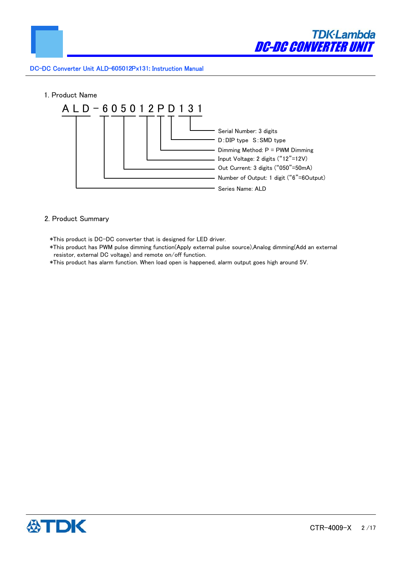



# 2. Product Summary

\*This product is DC-DC converter that is designed for LED driver.

- \*This product has PWM pulse dimming function(Apply external pulse source),Analog dimming(Add an external resistor, external DC voltage) and remote on/off function.
- \*This product has alarm function. When load open is happened, alarm output goes high around 5V.

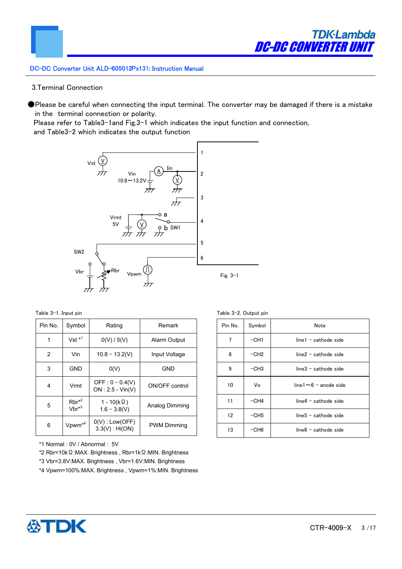

# 3.Terminal Connection

●Please be careful when connecting the input terminal. The converter may be damaged if there is a mistake in the terminal connection or polarity.

Please refer to Table3-1and Fig.3-1 which indicates the input function and connection, and Table3-2 which indicates the output function



Table 3-1. Input pin

| Pin No. | Symbol                          | Rating                                   | Remark             |
|---------|---------------------------------|------------------------------------------|--------------------|
| 1       | $Vst *1$                        | 0(V) / 5(V)                              | Alarm Output       |
| 2       | Vin                             | $10.8 - 13.2(V)$                         | Input Voltage      |
| 3       | GND                             | O(V)                                     | GND                |
| 4       | Vrmt                            | OFF : $0 - 0.4(V)$<br>$ON: 2.5 - Vin(V)$ | ON/OFF control     |
| 5       | $Rbr^{*2}$<br>Vbr <sup>*3</sup> | $1 - 10(k \Omega)$<br>$1.6 - 3.8(V)$     | Analog Dimming     |
| 6       | Vpwm <sup>*4</sup>              | $0(V)$ : Low(OFF)<br>$3.3(V)$ : Hi(ON)   | <b>PWM Dimming</b> |

\*1 Normal : 0V / Abnormal : 5V

\*2 Rbr=10kΩ:MAX. Brightness , Rbr=1kΩ:MIN. Brightness

\*3 Vbr=3.8V:MAX. Brightness , Vbr=1.6V:MIN. Brightness

\*4 Vpwm=100%:MAX. Brightness , Vpwm=1%:MIN. Brightness



| CTR-4009-X |  | 3/17 |  |  |
|------------|--|------|--|--|
|------------|--|------|--|--|

|  | Table 3-2. Output pin |  |
|--|-----------------------|--|
|  |                       |  |

| Pin No. | Symbol | Note                         |
|---------|--------|------------------------------|
| 7       | $-CH1$ | $line 1 - cathode side$      |
| 8       | $-CH2$ | line2 - cathode side         |
| 9       | $-CH3$ | $line 3$ - cathode side      |
| 10      | Vo     | line $1 \sim 6$ – anode side |
| 11      | $-CH4$ | $line 4 - cathode side$      |
| 12      | $-CH5$ | $line 5 - cathode side$      |
| 13      | $-CH6$ | $line 6$ - cathode side      |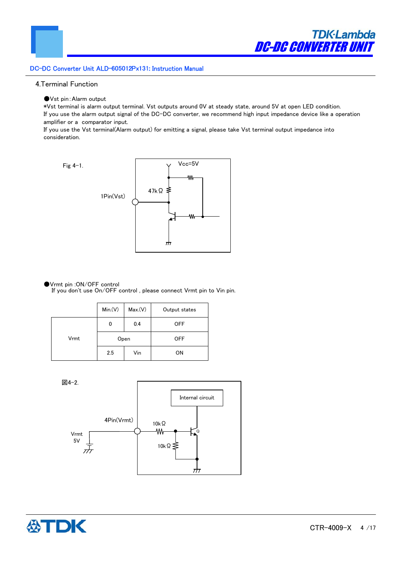

# 4.Terminal Function

●Vst pin:Alarm output

\*Vst terminal is alarm output terminal. Vst outputs around 0V at steady state, around 5V at open LED condition. If you use the alarm output signal of the DC-DC converter, we recommend high input impedance device like a operation amplifier or a comparator input.

If you use the Vst terminal(Alarm output) for emitting a signal, please take Vst terminal output impedance into consideration.



# ●Vrmt pin :ON/OFF control

If you don't use On/OFF control , please connect Vrmt pin to Vin pin.

|      | Min(V) | Max.(V) | Output states |
|------|--------|---------|---------------|
|      | 0      | 0.4     | <b>OFF</b>    |
| Vrmt | Open   |         | <b>OFF</b>    |
|      | 2.5    | Vin     | <b>ON</b>     |



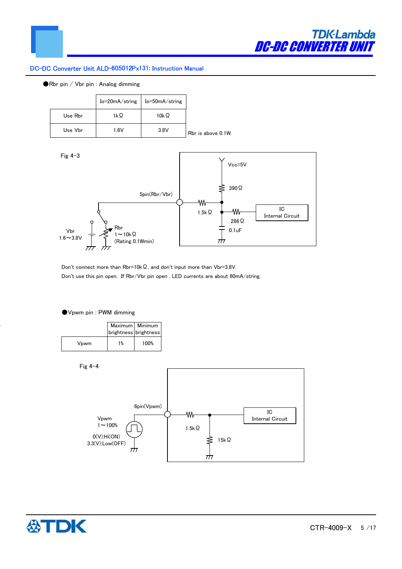

# ●Rbr pin / Vbr pin : Analog dimming

|         | Io=20mA/string | Io=50mA/string |                    |
|---------|----------------|----------------|--------------------|
| Use Rbr | 1kΩ            | 10kΩ           |                    |
| Use Vbr | 1.6V           | 3.8V           | Rbr is above 0.1W. |



Don't connect more than Rbr=10kΩ, and don't input more than Vbr=3.8V. Don't use this pin open. If Rbr/Vbr pin open , LED currents are about 60mA/string.

#### ●Vpwm pin : PWM dimming

|      | brightness brightness | Maximum   Minimum |
|------|-----------------------|-------------------|
| Vpwm | 1%                    | 100%              |

Fig 4-4



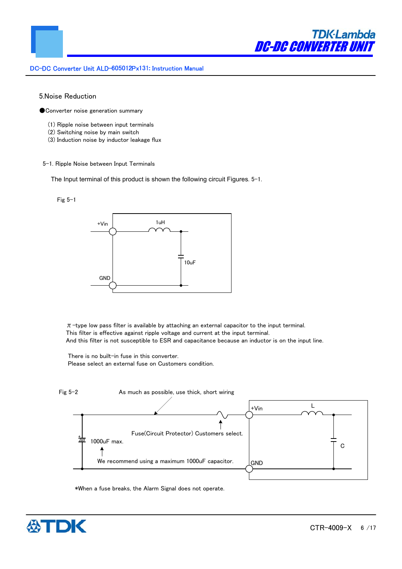

## 5.Noise Reduction

● Converter noise generation summary

- (1) Ripple noise between input terminals
- (2) Switching noise by main switch
- (3) Induction noise by inductor leakage flux

#### 5-1. Ripple Noise between Input Terminals

The Input terminal of this product is shown the following circuit Figures. 5-1.





 $\pi$ -type low pass filter is available by attaching an external capacitor to the input terminal. This filter is effective against ripple voltage and current at the input terminal. And this filter is not susceptible to ESR and capacitance because an inductor is on the input line.

 There is no built-in fuse in this converter. Please select an external fuse on Customers condition.



\*When a fuse breaks, the Alarm Signal does not operate.

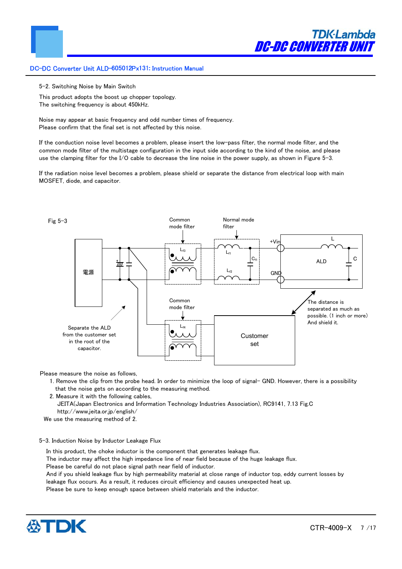

5-2. Switching Noise by Main Switch

This product adopts the boost up chopper topology. The switching frequency is about 450kHz.

Noise may appear at basic frequency and odd number times of frequency. Please confirm that the final set is not affected by this noise.

If the conduction noise level becomes a problem, please insert the low-pass filter, the normal mode filter, and the common mode filter of the multistage configuration in the input side according to the kind of the noise, and please use the clamping filter for the I/O cable to decrease the line noise in the power supply, as shown in Figure 5-3.

If the radiation noise level becomes a problem, please shield or separate the distance from electrical loop with main MOSFET, diode, and capacitor.



Please measure the noise as follows,

- 1. Remove the clip from the probe head. In order to minimize the loop of signal- GND. However, there is a possibility that the noise gets on according to the measuring method.
- 2. Measure it with the following cables,

 JEITA(Japan Electronics and Information Technology Industries Association), RC9141, 7.13 Fig.C http://www.jeita.or.jp/english/

We use the measuring method of 2.

#### 5-3. Induction Noise by Inductor Leakage Flux

In this product, the choke inductor is the component that generates leakage flux.

The inductor may affect the high impedance line of near field because of the huge leakage flux.

Please be careful do not place signal path near field of inductor.

And if you shield leakage flux by high permeability material at close range of inductor top, eddy current losses by leakage flux occurs. As a result, it reduces circuit efficiency and causes unexpected heat up.

Please be sure to keep enough space between shield materials and the inductor.

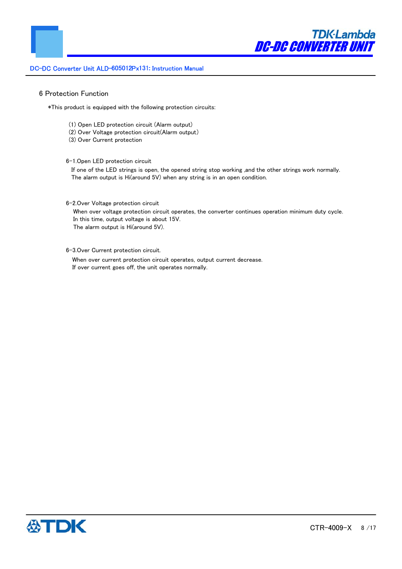

## 6 Protection Function

\*This product is equipped with the following protection circuits:

- (1) Open LED protection circuit (Alarm output)
- (2) Over Voltage protection circuit(Alarm output)
- (3) Over Current protection

6-1.Open LED protection circuit

If one of the LED strings is open, the opened string stop working ,and the other strings work normally. The alarm output is Hi(around 5V) when any string is in an open condition.

# 6-2.Over Voltage protection circuit

When over voltage protection circuit operates, the converter continues operation minimum duty cycle. In this time, output voltage is about 15V. The alarm output is Hi(around 5V).

6-3.Over Current protection circuit.

When over current protection circuit operates, output current decrease. If over current goes off, the unit operates normally.

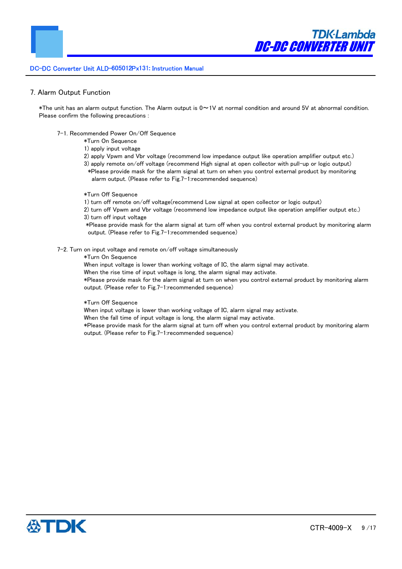#### 7. Alarm Output Function

\*The unit has an alarm output function. The Alarm output is 0~1V at normal condition and around 5V at abnormal condition. Please confirm the following precautions :

- 7-1. Recommended Power On/Off Sequence
	- \*Turn On Sequence
	- 1) apply input voltage
	- 2) apply Vpwm and Vbr voltage (recommend low impedance output like operation amplifier output etc.)
	- 3) apply remote on/off voltage (recommend High signal at open collector with pull-up or logic output) \*Please provide mask for the alarm signal at turn on when you control external product by monitoring alarm output. (Please refer to Fig.7-1:recommended sequence)
	- \*Turn Off Sequence

1) turn off remote on/off voltage(recommend Low signal at open collector or logic output)

2) turn off Vpwm and Vbr voltage (recommend low impedance output like operation amplifier output etc.) 3) turn off input voltage

 \*Please provide mask for the alarm signal at turn off when you control external product by monitoring alarm output. (Please refer to Fig.7-1:recommended sequence)

7-2. Turn on input voltage and remote on/off voltage simultaneously

\*Turn On Sequence

When input voltage is lower than working voltage of IC, the alarm signal may activate.

When the rise time of input voltage is long, the alarm signal may activate.

\*Please provide mask for the alarm signal at turn on when you control external product by monitoring alarm output. (Please refer to Fig.7-1:recommended sequence)

#### \*Turn Off Sequence

When input voltage is lower than working voltage of IC, alarm signal may activate.

When the fall time of input voltage is long, the alarm signal may activate.

\*Please provide mask for the alarm signal at turn off when you control external product by monitoring alarm output. (Please refer to Fig.7-1:recommended sequence)

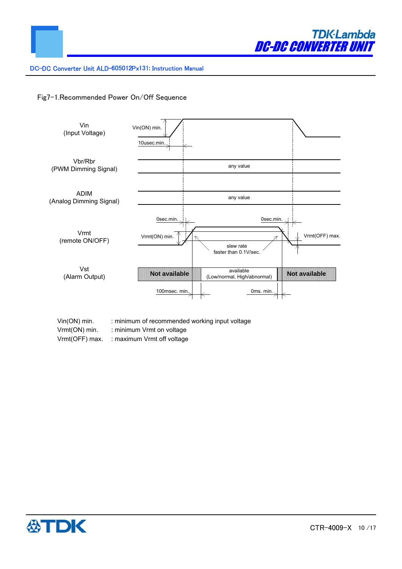

# Fig7-1.Recommended Power On/Off Sequence



- Vin(ON) min. : minimum of recommended working input voltage
- Vrmt(ON) min. : minimum Vrmt on voltage
- Vrmt(OFF) max. : maximum Vrmt off voltage

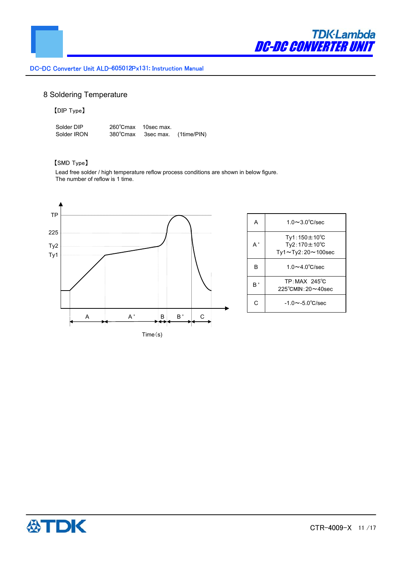

# 8 Soldering Temperature

# 【DIP Type】

Solder DIP 260℃max 10sec max. Solder IRON 380℃max 3sec max. (1time/PIN)

# 【SMD Type】

 Lead free solder / high temperature reflow process conditions are shown in below figure. The number of reflow is 1 time.



| А            | $1.0 \sim 3.0^{\circ}$ C/sec                                                |
|--------------|-----------------------------------------------------------------------------|
| $\mathsf{A}$ | $Tv1:150 \pm 10^{\circ}C$<br>$Ty2:170 \pm 10^{\circ}C$<br>Ty1~Ty2:20~100sec |
| в            | $1.0 \sim 4.0^{\circ}$ C/sec                                                |
| в'           | $TP:MAX$ 245 $°C$<br>$225^{\circ}$ CMIN: $20 \sim 40$ sec                   |
| C            | $-1.0 \sim -5.0^{\circ}$ C/sec                                              |

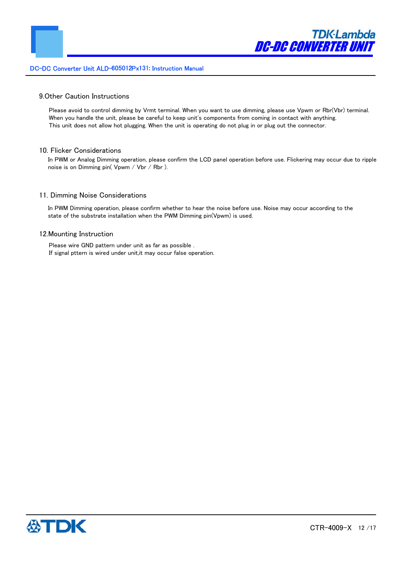

# 9.Other Caution Instructions

Please avoid to control dimming by Vrmt terminal. When you want to use dimming, please use Vpwm or Rbr(Vbr) terminal. When you handle the unit, please be careful to keep unit's components from coming in contact with anything. This unit does not allow hot plugging. When the unit is operating do not plug in or plug out the connector.

#### 10. Flicker Considerations

In PWM or Analog Dimming operation, please confirm the LCD panel operation before use. Flickering may occur due to ripple noise is on Dimming pin( Vpwm / Vbr / Rbr ).

#### 11. Dimming Noise Considerations

In PWM Dimming operation, please confirm whether to hear the noise before use. Noise may occur according to the state of the substrate installation when the PWM Dimming pin(Vpwm) is used.

# 12.Mounting Instruction

Please wire GND pattern under unit as far as possible . If signal pttern is wired under unit,it may occur false operation.

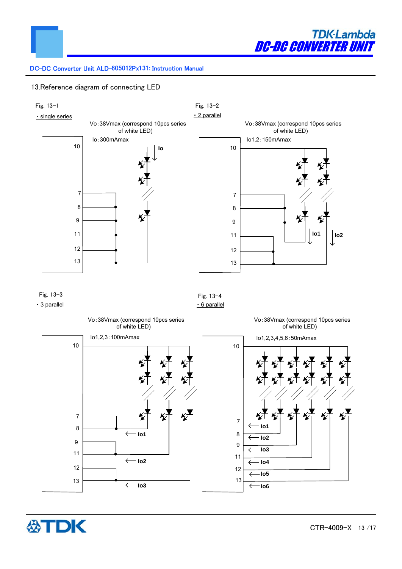

# 13.Reference diagram of connecting LED



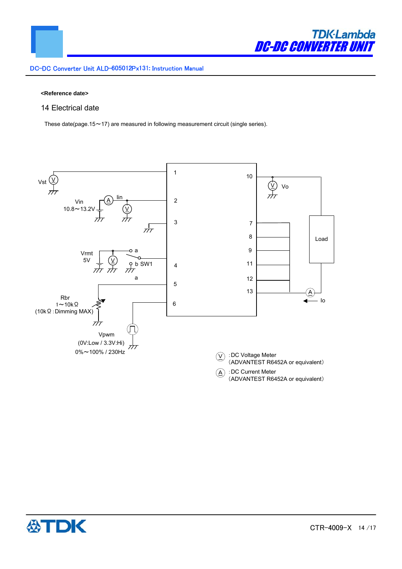

#### **<Reference date>**

# 14 Electrical date

These date(page.15 $\sim$ 17) are measured in following measurement circuit (single series).



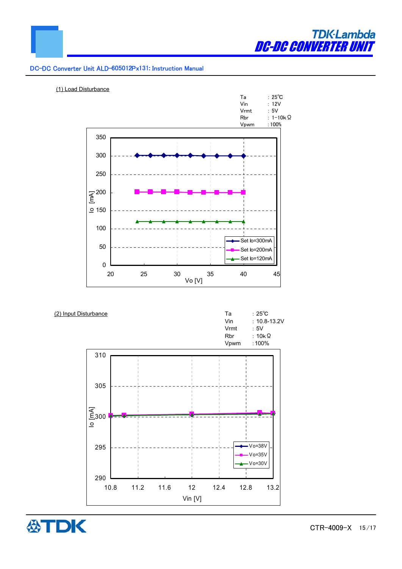



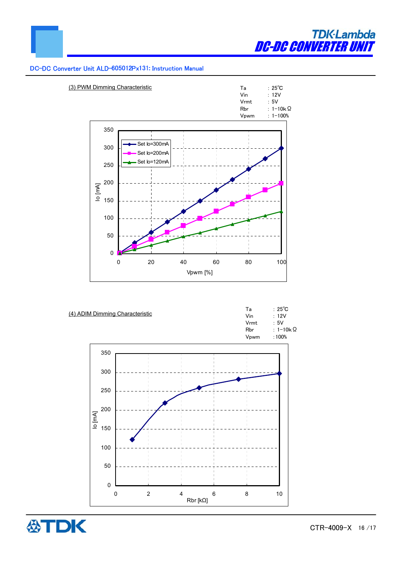